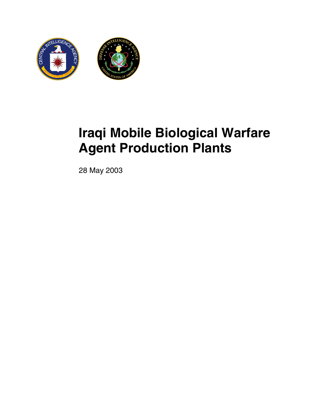

# **Iraqi Mobile Biological Warfare Agent Production Plants**

28 May 2003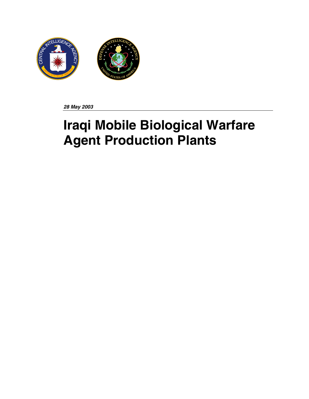

*28 May 2003* 

## **Iraqi Mobile Biological Warfare Agent Production Plants**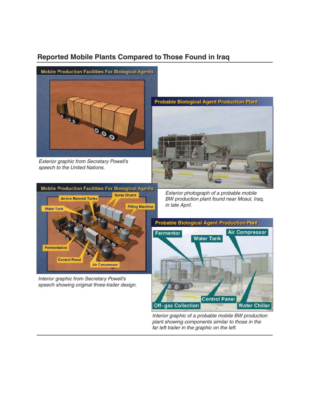### **Reported Mobile Plants Compared to Those Found in Iraq**



Exterior graphic from Secretary Powell's speech to the United Nations.



Interior graphic from Secretary Powell's speech showing original three-trailer design.

**Probable Biological Agent Production Plant** 



Exterior photograph of a probable mobile BW production plant found near Mosul, Iraq, in late April.



Interior graphic of a probable mobile BW production plant showing components similar to those in the far left trailer in the graphic on the left.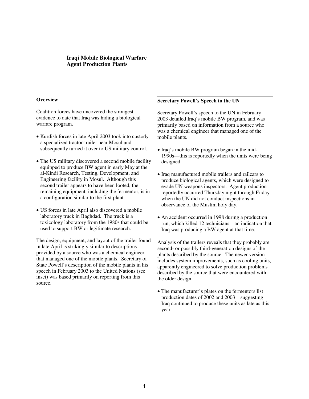#### **Iraqi Mobile Biological Warfare Agent Production Plants**

#### **Overview**

Coalition forces have uncovered the strongest evidence to date that Iraq was hiding a biological warfare program.

- Kurdish forces in late April 2003 took into custody a specialized tractor-trailer near Mosul and subsequently turned it over to US military control.
- The US military discovered a second mobile facility equipped to produce BW agent in early May at the al-Kindi Research, Testing, Development, and Engineering facility in Mosul. Although this second trailer appears to have been looted, the remaining equipment, including the fermentor, is in a configuration similar to the first plant.
- US forces in late April also discovered a mobile laboratory truck in Baghdad. The truck is a toxicology laboratory from the 1980s that could be used to support BW or legitimate research.

The design, equipment, and layout of the trailer found in late April is strikingly similar to descriptions provided by a source who was a chemical engineer that managed one of the mobile plants. Secretary of State Powell's description of the mobile plants in his speech in February 2003 to the United Nations (see inset) was based primarily on reporting from this source.

#### **Secretary Powell's Speech to the UN**

Secretary Powell's speech to the UN in February 2003 detailed Iraq's mobile BW program, and was primarily based on information from a source who was a chemical engineer that managed one of the mobile plants.

- Iraq's mobile BW program began in the mid-1990s—this is reportedly when the units were being designed.
- Iraq manufactured mobile trailers and railcars to produce biological agents, which were designed to evade UN weapons inspectors. Agent production reportedly occurred Thursday night through Friday when the UN did not conduct inspections in observance of the Muslim holy day.
- An accident occurred in 1998 during a production run, which killed 12 technicians—an indication that Iraq was producing a BW agent at that time.

Analysis of the trailers reveals that they probably are second- or possibly third-generation designs of the plants described by the source. The newer version includes system improvements, such as cooling units, apparently engineered to solve production problems described by the source that were encountered with the older design.

• The manufacturer's plates on the fermentors list production dates of 2002 and 2003—suggesting Iraq continued to produce these units as late as this year.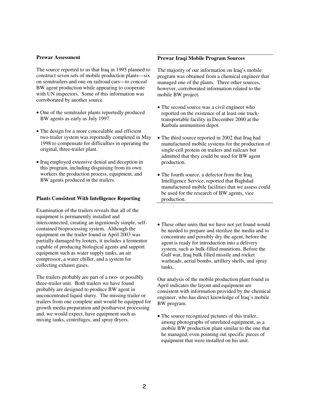#### **Prewar Assessment**

The source reported to us that Iraq in 1995 planned to construct seven sets of mobile production plants—six on semitrailers and one on railroad cars—to conceal BW agent production while appearing to cooperate with UN inspectors. Some of this information was corroborated by another source.

- One of the semitrailer plants reportedly produced BW agents as early as July 1997.
- The design for a more concealable and efficient two-trailer system was reportedly completed in May 1998 to compensate for difficulties in operating the original, three-trailer plant.
- Iraq employed extensive denial and deception in this program, including disguising from its own workers the production process, equipment, and BW agents produced in the trailers.

#### **Plants Consistent With Intelligence Reporting**

Examination of the trailers reveals that all of the equipment is permanently installed and interconnected, creating an ingeniously simple, selfcontained bioprocessing system. Although the equipment on the trailer found in April 2003 was partially damaged by looters, it includes a fermentor capable of producing biological agents and support equipment such as water supply tanks, an air compressor, a water chiller, and a system for collecting exhaust gases.

The trailers probably are part of a two- or possibly three-trailer unit. Both trailers we have found probably are designed to produce BW agent in unconcentrated liquid slurry. The missing trailer or trailers from one complete unit would be equipped for growth media preparation and postharvest processing and, we would expect, have equipment such as mixing tanks, centrifuges, and spray dryers.

#### **Prewar Iraqi Mobile Program Sources**

The majority of our information on Iraq's mobile program was obtained from a chemical engineer that managed one of the plants. Three other sources, however, corroborated information related to the mobile BW project.

- The second source was a civil engineer who reported on the existence of at least one trucktransportable facility in December 2000 at the Karbala ammunition depot.
- The third source reported in 2002 that Iraq had manufactured mobile systems for the production of single-cell protein on trailers and railcars but admitted that they could be used for BW agent production.
- The fourth source, a defector from the Iraq Intelligence Service, reported that Baghdad manufactured mobile facilities that we assess could be used for the research of BW agents, vice production.
- These other units that we have not yet found would be needed to prepare and sterilize the media and to concentrate and possibly dry the agent, before the agent is ready for introduction into a delivery system, such as bulk-filled munitions. Before the Gulf war, Iraq bulk filled missile and rocket warheads, aerial bombs, artillery shells, and spray tanks.

Our analysis of the mobile production plant found in April indicates the layout and equipment are consistent with information provided by the chemical engineer, who has direct knowledge of Iraq's mobile BW program.

• The source recognized pictures of this trailer, among photographs of unrelated equipment, as a mobile BW production plant similar to the one that he managed, even pointing out specific pieces of equipment that were installed on his unit.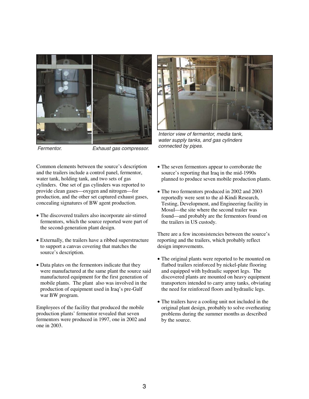

Fermentor. Exhaust gas compressor.

Common elements between the source's description and the trailers include a control panel, fermentor, water tank, holding tank, and two sets of gas cylinders. One set of gas cylinders was reported to provide clean gases—oxygen and nitrogen—for production, and the other set captured exhaust gases, concealing signatures of BW agent production.

- The discovered trailers also incorporate air-stirred fermentors, which the source reported were part of the second-generation plant design.
- Externally, the trailers have a ribbed superstructure to support a canvas covering that matches the source's description.
- Data plates on the fermentors indicate that they were manufactured at the same plant the source said manufactured equipment for the first generation of mobile plants. The plant also was involved in the production of equipment used in Iraq's pre-Gulf war BW program.

Employees of the facility that produced the mobile production plants' fermentor revealed that seven fermentors were produced in 1997, one in 2002 and one in 2003.



Interior view of fermentor, media tank, water supply tanks, and gas cylinders connected by pipes.

- The seven fermentors appear to corroborate the source's reporting that Iraq in the mid-1990s planned to produce seven mobile production plants.
- The two fermentors produced in 2002 and 2003 reportedly were sent to the al-Kindi Research, Testing, Development, and Engineering facility in Mosul—the site where the second trailer was found—and probably are the fermentors found on the trailers in US custody.

There are a few inconsistencies between the source's reporting and the trailers, which probably reflect design improvements.

- The original plants were reported to be mounted on flatbed trailers reinforced by nickel-plate flooring and equipped with hydraulic support legs. The discovered plants are mounted on heavy equipment transporters intended to carry army tanks, obviating the need for reinforced floors and hydraulic legs.
- The trailers have a cooling unit not included in the original plant design, probably to solve overheating problems during the summer months as described by the source.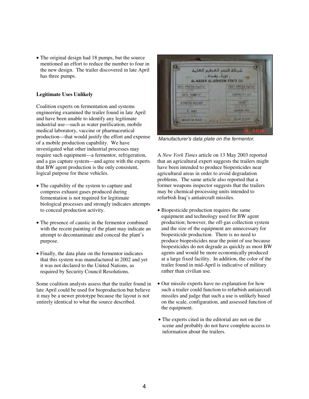• The original design had 18 pumps, but the source mentioned an effort to reduce the number to four in the new design. The trailer discovered in late April has three pumps.

#### **Legitimate Uses Unlikely**

Coalition experts on fermentation and systems engineering examined the trailer found in late April and have been unable to identify any legitimate industrial use—such as water purification, mobile medical laboratory, vaccine or pharmaceutical production—that would justify the effort and expense of a mobile production capability. We have investigated what other industrial processes may require such equipment—a fermentor, refrigeration, and a gas capture system—and agree with the experts that BW agent production is the only consistent, logical purpose for these vehicles.

- The capability of the system to capture and compress exhaust gases produced during fermentation is not required for legitimate biological processes and strongly indicates attempts to conceal production activity.
- The presence of caustic in the fermentor combined with the recent painting of the plant may indicate an attempt to decontaminate and conceal the plant's purpose.
- Finally, the data plate on the fermentor indicates that this system was manufactured in 2002 and yet it was not declared to the United Nations, as required by Security Council Resolutions.

Some coalition analysts assess that the trailer found in late April could be used for bioproduction but believe it may be a newer prototype because the layout is not entirely identical to what the source described.



Manufacturer's data plate on the fermentor.

A *New York Times* article on 13 May 2003 reported that an agricultural expert suggests the trailers might have been intended to produce biopesticides near agricultural areas in order to avoid degradation problems. The same article also reported that a former weapons inspector suggests that the trailers may be chemical-processing units intended to refurbish Iraq's antiaircraft missiles.

- Biopesticide production requires the same equipment and technology used for BW agent production; however, the off-gas collection system and the size of the equipment are unnecessary for biopesticide production. There is no need to produce biopesticides near the point of use because biopesticides do not degrade as quickly as most BW agents and would be more economically produced at a large fixed facility. In addition, the color of the trailer found in mid-April is indicative of military rather than civilian use.
- Our missile experts have no explanation for how such a trailer could function to refurbish antiaircraft missiles and judge that such a use is unlikely based on the scale, configuration, and assessed function of the equipment.
- The experts cited in the editorial are not on the scene and probably do not have complete access to information about the trailers.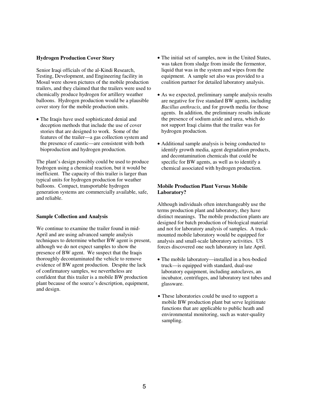#### **Hydrogen Production Cover Story**

Senior Iraqi officials of the al-Kindi Research, Testing, Development, and Engineering facility in Mosul were shown pictures of the mobile production trailers, and they claimed that the trailers were used to chemically produce hydrogen for artillery weather balloons. Hydrogen production would be a plausible cover story for the mobile production units.

• The Iraqis have used sophisticated denial and deception methods that include the use of cover stories that are designed to work. Some of the features of the trailer—a gas collection system and the presence of caustic—are consistent with both bioproduction and hydrogen production.

The plant's design possibly could be used to produce hydrogen using a chemical reaction, but it would be inefficient. The capacity of this trailer is larger than typical units for hydrogen production for weather balloons. Compact, transportable hydrogen generation systems are commercially available, safe, and reliable.

#### **Sample Collection and Analysis**

We continue to examine the trailer found in mid-April and are using advanced sample analysis techniques to determine whether BW agent is present, although we do not expect samples to show the presence of BW agent. We suspect that the Iraqis thoroughly decontaminated the vehicle to remove evidence of BW agent production. Despite the lack of confirmatory samples, we nevertheless are confident that this trailer is a mobile BW production plant because of the source's description, equipment, and design.

- The initial set of samples, now in the United States, was taken from sludge from inside the fermentor, liquid that was in the system and wipes from the equipment. A sample set also was provided to a coalition partner for detailed laboratory analysis.
- As we expected, preliminary sample analysis results are negative for five standard BW agents, including *Bacillus anthracis*, and for growth media for those agents. In addition, the preliminary results indicate the presence of sodium azide and urea, which do not support Iraqi claims that the trailer was for hydrogen production.
- Additional sample analysis is being conducted to identify growth media, agent degradation products, and decontamination chemicals that could be specific for BW agents, as well as to identify a chemical associated with hydrogen production.

#### **Mobile Production Plant Versus Mobile Laboratory?**

Although individuals often interchangeably use the terms production plant and laboratory, they have distinct meanings. The mobile production plants are designed for batch production of biological material and not for laboratory analysis of samples. A truckmounted mobile laboratory would be equipped for analysis and small-scale laboratory activities. US forces discovered one such laboratory in late April.

- The mobile laboratory—installed in a box-bodied truck—is equipped with standard, dual-use laboratory equipment, including autoclaves, an incubator, centrifuges, and laboratory test tubes and glassware.
- These laboratories could be used to support a mobile BW production plant but serve legitimate functions that are applicable to public heath and environmental monitoring, such as water-quality sampling.